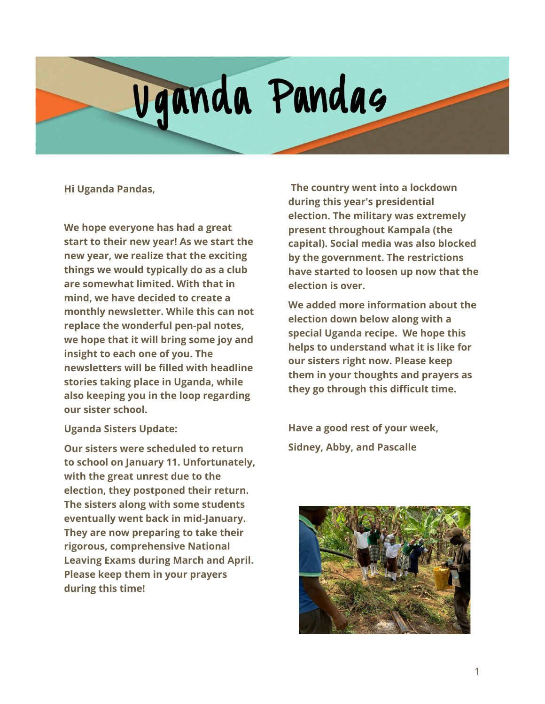# Vganda Pandas

**Hi Uganda Pandas,**

**We hope everyone has had a great start to their new year! As we start the new year, we realize that the exciting things we would typically do as a club are somewhat limited. With that in mind, we have decided to create a monthly newsletter. While this can not replace the wonderful pen-pal notes, we hope that it will bring some joy and insight to each one of you. The newsletters will be filled with headline stories taking place in Uganda, while also keeping you in the loop regarding our sister school.**

#### **Uganda Sisters Update:**

**Our sisters were scheduled to return to school on January 11. Unfortunately, with the great unrest due to the election, they postponed their return. The sisters along with some students eventually went back in mid-January. They are now preparing to take their rigorous, comprehensive National Leaving Exams during March and April. Please keep them in your prayers during this time!**

**The country went into a lockdown during this year's presidential election. The military was extremely present throughout Kampala (the capital). Social media was also blocked by the government. The restrictions have started to loosen up now that the election is over.**

**We added more information about the election down below along with a special Uganda recipe. We hope this helps to understand what it is like for our sisters right now. Please keep them in your thoughts and prayers as they go through this difficult time.**

**Have a good rest of your week, Sidney, Abby, and Pascalle**

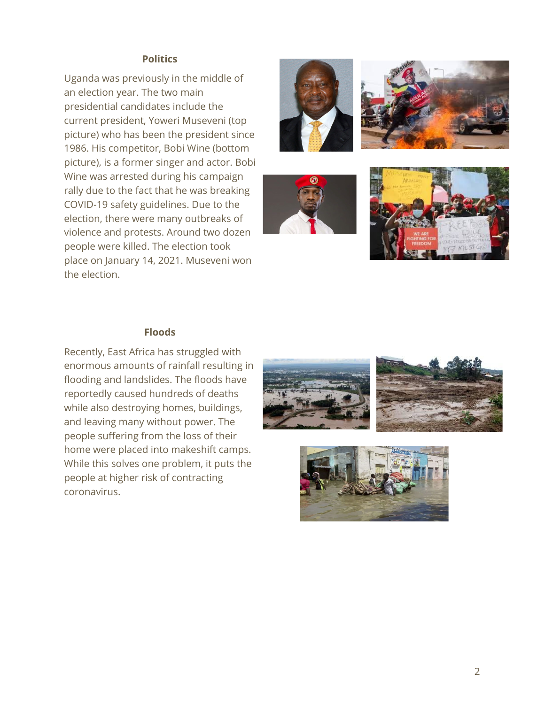#### **Politics**

Uganda was previously in the middle of an election year. The two main presidential candidates include the current president, Yoweri Museveni (top picture) who has been the president since 1986. His competitor, Bobi Wine (bottom picture), is a former singer and actor. Bobi Wine was arrested during his campaign rally due to the fact that he was breaking COVID-19 safety guidelines. Due to the election, there were many outbreaks of violence and protests. Around two dozen people were killed. The election took place on January 14, 2021. Museveni won the election.









#### **Floods**

Recently, East Africa has struggled with enormous amounts of rainfall resulting in flooding and landslides. The floods have reportedly caused hundreds of deaths while also destroying homes, buildings, and leaving many without power. The people suffering from the loss of their home were placed into makeshift camps. While this solves one problem, it puts the people at higher risk of contracting coronavirus.